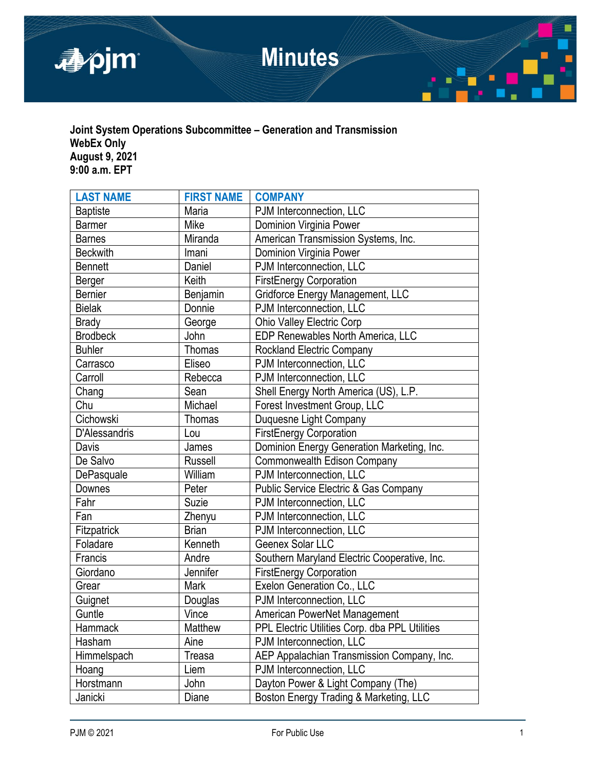

## **Joint System Operations Subcommittee – Generation and Transmission WebEx Only August 9, 2021 9:00 a.m. EPT**

| <b>LAST NAME</b> | <b>FIRST NAME</b> | <b>COMPANY</b>                                   |
|------------------|-------------------|--------------------------------------------------|
| <b>Baptiste</b>  | Maria             | PJM Interconnection, LLC                         |
| <b>Barmer</b>    | Mike              | Dominion Virginia Power                          |
| <b>Barnes</b>    | Miranda           | American Transmission Systems, Inc.              |
| <b>Beckwith</b>  | Imani             | Dominion Virginia Power                          |
| <b>Bennett</b>   | Daniel            | PJM Interconnection, LLC                         |
| Berger           | Keith             | <b>FirstEnergy Corporation</b>                   |
| <b>Bernier</b>   | Benjamin          | Gridforce Energy Management, LLC                 |
| <b>Bielak</b>    | Donnie            | PJM Interconnection, LLC                         |
| <b>Brady</b>     | George            | Ohio Valley Electric Corp                        |
| <b>Brodbeck</b>  | John              | EDP Renewables North America, LLC                |
| <b>Buhler</b>    | <b>Thomas</b>     | <b>Rockland Electric Company</b>                 |
| Carrasco         | Eliseo            | PJM Interconnection, LLC                         |
| Carroll          | Rebecca           | PJM Interconnection, LLC                         |
| Chang            | Sean              | Shell Energy North America (US), L.P.            |
| Chu              | Michael           | Forest Investment Group, LLC                     |
| Cichowski        | Thomas            | Duquesne Light Company                           |
| D'Alessandris    | Lou               | <b>FirstEnergy Corporation</b>                   |
| Davis            | James             | Dominion Energy Generation Marketing, Inc.       |
| De Salvo         | <b>Russell</b>    | Commonwealth Edison Company                      |
| DePasquale       | William           | PJM Interconnection, LLC                         |
| Downes           | Peter             | <b>Public Service Electric &amp; Gas Company</b> |
| Fahr             | Suzie             | PJM Interconnection, LLC                         |
| Fan              | Zhenyu            | PJM Interconnection, LLC                         |
| Fitzpatrick      | <b>Brian</b>      | PJM Interconnection, LLC                         |
| Foladare         | Kenneth           | Geenex Solar LLC                                 |
| Francis          | Andre             | Southern Maryland Electric Cooperative, Inc.     |
| Giordano         | Jennifer          | <b>FirstEnergy Corporation</b>                   |
| Grear            | Mark              | Exelon Generation Co., LLC                       |
| Guignet          | Douglas           | PJM Interconnection, LLC                         |
| Guntle           | Vince             | American PowerNet Management                     |
| Hammack          | Matthew           | PPL Electric Utilities Corp. dba PPL Utilities   |
| Hasham           | Aine              | PJM Interconnection, LLC                         |
| Himmelspach      | Treasa            | AEP Appalachian Transmission Company, Inc.       |
| Hoang            | Liem              | PJM Interconnection, LLC                         |
| Horstmann        | John              | Dayton Power & Light Company (The)               |
| Janicki          | Diane             | Boston Energy Trading & Marketing, LLC           |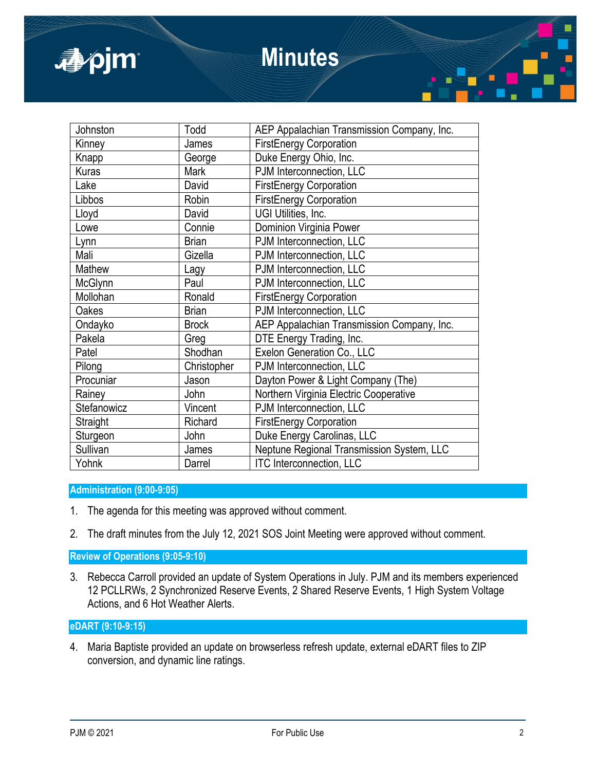

# **Minutes**

| Todd         | AEP Appalachian Transmission Company, Inc. |
|--------------|--------------------------------------------|
| James        | <b>FirstEnergy Corporation</b>             |
| George       | Duke Energy Ohio, Inc.                     |
| Mark         | PJM Interconnection, LLC                   |
| David        | <b>FirstEnergy Corporation</b>             |
| Robin        | <b>FirstEnergy Corporation</b>             |
| David        | UGI Utilities, Inc.                        |
| Connie       | Dominion Virginia Power                    |
| <b>Brian</b> | PJM Interconnection, LLC                   |
| Gizella      | PJM Interconnection, LLC                   |
| Lagy         | PJM Interconnection, LLC                   |
| Paul         | PJM Interconnection, LLC                   |
| Ronald       | <b>FirstEnergy Corporation</b>             |
| <b>Brian</b> | PJM Interconnection, LLC                   |
| <b>Brock</b> | AEP Appalachian Transmission Company, Inc. |
| Greg         | DTE Energy Trading, Inc.                   |
| Shodhan      | Exelon Generation Co., LLC                 |
| Christopher  | PJM Interconnection, LLC                   |
| Jason        | Dayton Power & Light Company (The)         |
| John         | Northern Virginia Electric Cooperative     |
| Vincent      | PJM Interconnection, LLC                   |
| Richard      | <b>FirstEnergy Corporation</b>             |
| John         | Duke Energy Carolinas, LLC                 |
| James        | Neptune Regional Transmission System, LLC  |
| Darrel       | <b>ITC Interconnection, LLC</b>            |
|              |                                            |

## **Administration (9:00-9:05)**

- 1. The agenda for this meeting was approved without comment.
- 2. The draft minutes from the July 12, 2021 SOS Joint Meeting were approved without comment.

**Review of Operations (9:05-9:10)**

3. Rebecca Carroll provided an update of System Operations in July. PJM and its members experienced 12 PCLLRWs, 2 Synchronized Reserve Events, 2 Shared Reserve Events, 1 High System Voltage Actions, and 6 Hot Weather Alerts.

# **eDART (9:10-9:15)**

4. Maria Baptiste provided an update on browserless refresh update, external eDART files to ZIP conversion, and dynamic line ratings.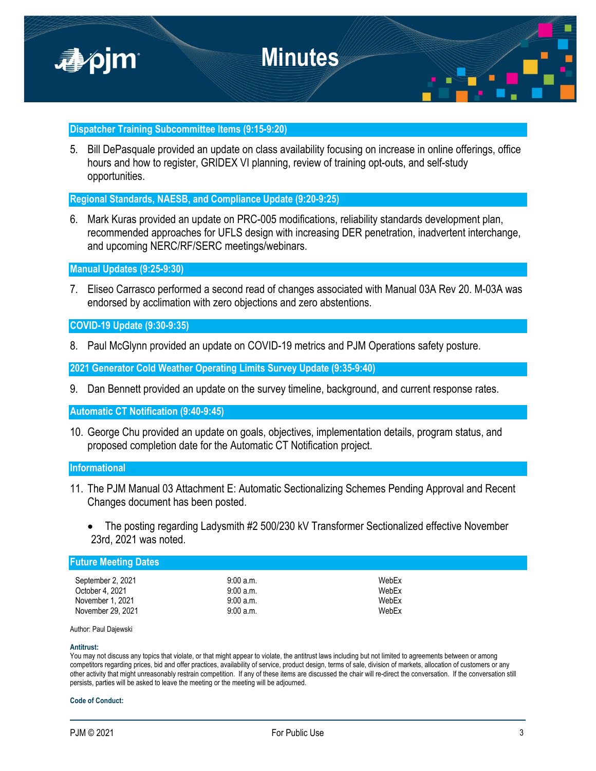

## **Dispatcher Training Subcommittee Items (9:15-9:20)**

5. Bill DePasquale provided an update on class availability focusing on increase in online offerings, office hours and how to register, GRIDEX VI planning, review of training opt-outs, and self-study opportunities.

**Regional Standards, NAESB, and Compliance Update (9:20-9:25)**

6. Mark Kuras provided an update on PRC-005 modifications, reliability standards development plan, recommended approaches for UFLS design with increasing DER penetration, inadvertent interchange, and upcoming NERC/RF/SERC meetings/webinars.

**Manual Updates (9:25-9:30)**

7. Eliseo Carrasco performed a second read of changes associated with Manual 03A Rev 20. M-03A was endorsed by acclimation with zero objections and zero abstentions.

**COVID-19 Update (9:30-9:35)**

8. Paul McGlynn provided an update on COVID-19 metrics and PJM Operations safety posture.

**2021 Generator Cold Weather Operating Limits Survey Update (9:35-9:40)**

9. Dan Bennett provided an update on the survey timeline, background, and current response rates.

**Automatic CT Notification (9:40-9:45)**

10. George Chu provided an update on goals, objectives, implementation details, program status, and proposed completion date for the Automatic CT Notification project.

## **Informational**

- 11. The PJM Manual 03 Attachment E: Automatic Sectionalizing Schemes Pending Approval and Recent Changes document has been posted.
	- The posting regarding Ladysmith #2 500/230 kV Transformer Sectionalized effective November 23rd, 2021 was noted.

| <b>Future Meeting Dates</b>                                                   |                                                 |                                  |  |  |
|-------------------------------------------------------------------------------|-------------------------------------------------|----------------------------------|--|--|
| September 2, 2021<br>October 4, 2021<br>November 1, 2021<br>November 29, 2021 | 9:00a.m.<br>9:00a.m.<br>9:00a.m.<br>$9:00$ a.m. | WebEx<br>WebEx<br>WebEx<br>WebEx |  |  |
|                                                                               |                                                 |                                  |  |  |

Author: Paul Dajewski

#### **Antitrust:**

You may not discuss any topics that violate, or that might appear to violate, the antitrust laws including but not limited to agreements between or among competitors regarding prices, bid and offer practices, availability of service, product design, terms of sale, division of markets, allocation of customers or any other activity that might unreasonably restrain competition. If any of these items are discussed the chair will re-direct the conversation. If the conversation still persists, parties will be asked to leave the meeting or the meeting will be adjourned.

### **Code of Conduct:**